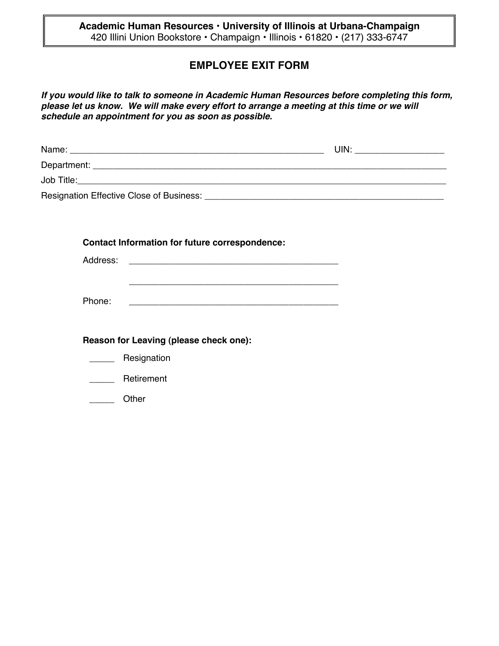**Academic Human Resources • University of Illinois at Urbana-Champaign** 420 Illini Union Bookstore • Champaign • Illinois • 61820 • (217) 333-6747

## **EMPLOYEE EXIT FORM**

*If you would like to talk to someone in Academic Human Resources before completing this form, please let us know. We will make every effort to arrange a meeting at this time or we will schedule an appointment for you as soon as possible.*

| Name:                                                                                                                                                                                                                              | UIN <sup>.</sup> |
|------------------------------------------------------------------------------------------------------------------------------------------------------------------------------------------------------------------------------------|------------------|
|                                                                                                                                                                                                                                    |                  |
| <b>Job Title:</b> And Title: And Title: And Title: And Title: And Title: And Title: And Title: And Title: And Title: And Title: And Title: And Title: And Title: And Title: And Title: And Title: And Title: And Title: And Title: |                  |
| Resignation Effective Close of Business:                                                                                                                                                                                           |                  |

\_\_\_\_\_\_\_\_\_\_\_\_\_\_\_\_\_\_\_\_\_\_\_\_\_\_\_\_\_\_\_\_\_\_\_\_\_\_\_\_\_\_

**Contact Information for future correspondence:**

Address:

Phone: \_\_\_\_\_\_\_\_\_\_\_\_\_\_\_\_\_\_\_\_\_\_\_\_\_\_\_\_\_\_\_\_\_\_\_\_\_\_\_\_\_\_

**Reason for Leaving (please check one):**

- \_\_\_\_\_\_\_ Resignation
- \_\_\_\_\_ Retirement
- \_\_\_\_\_ Other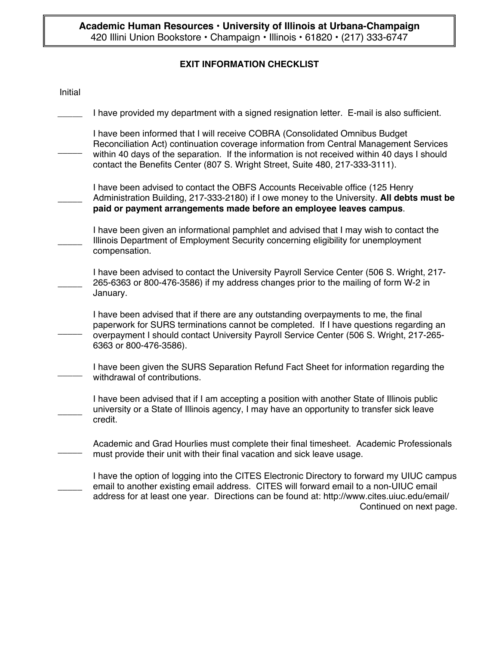## **EXIT INFORMATION CHECKLIST**

| Initial |                                                                                                                                                                                                                                                                                                                                                       |
|---------|-------------------------------------------------------------------------------------------------------------------------------------------------------------------------------------------------------------------------------------------------------------------------------------------------------------------------------------------------------|
|         | I have provided my department with a signed resignation letter. E-mail is also sufficient.                                                                                                                                                                                                                                                            |
|         | I have been informed that I will receive COBRA (Consolidated Omnibus Budget<br>Reconciliation Act) continuation coverage information from Central Management Services<br>within 40 days of the separation. If the information is not received within 40 days I should<br>contact the Benefits Center (807 S. Wright Street, Suite 480, 217-333-3111). |
|         | I have been advised to contact the OBFS Accounts Receivable office (125 Henry<br>Administration Building, 217-333-2180) if I owe money to the University. All debts must be<br>paid or payment arrangements made before an employee leaves campus.                                                                                                    |
|         | I have been given an informational pamphlet and advised that I may wish to contact the<br>Illinois Department of Employment Security concerning eligibility for unemployment<br>compensation.                                                                                                                                                         |
|         | I have been advised to contact the University Payroll Service Center (506 S. Wright, 217-<br>265-6363 or 800-476-3586) if my address changes prior to the mailing of form W-2 in<br>January.                                                                                                                                                          |
|         | I have been advised that if there are any outstanding overpayments to me, the final<br>paperwork for SURS terminations cannot be completed. If I have questions regarding an<br>overpayment I should contact University Payroll Service Center (506 S. Wright, 217-265-<br>6363 or 800-476-3586).                                                     |
|         | I have been given the SURS Separation Refund Fact Sheet for information regarding the<br>withdrawal of contributions.                                                                                                                                                                                                                                 |
|         | I have been advised that if I am accepting a position with another State of Illinois public<br>university or a State of Illinois agency, I may have an opportunity to transfer sick leave<br>credit.                                                                                                                                                  |
|         | Academic and Grad Hourlies must complete their final timesheet. Academic Professionals<br>must provide their unit with their final vacation and sick leave usage.                                                                                                                                                                                     |
|         | I have the option of logging into the CITES Electronic Directory to forward my UIUC campus<br>email to another existing email address. CITES will forward email to a non-UIUC email<br>address for at least one year. Directions can be found at: http://www.cites.uiuc.edu/email/<br>Continued on next page.                                         |